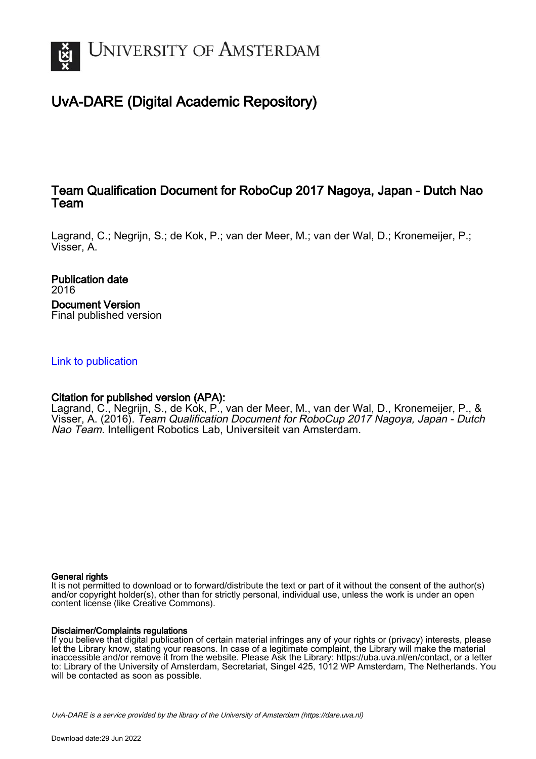

# UvA-DARE (Digital Academic Repository)

## Team Qualification Document for RoboCup 2017 Nagoya, Japan - Dutch Nao Team

Lagrand, C.; Negrijn, S.; de Kok, P.; van der Meer, M.; van der Wal, D.; Kronemeijer, P.; Visser, A.

Publication date 2016 Document Version Final published version

## [Link to publication](https://dare.uva.nl/personal/pure/en/publications/team-qualification-document-for-robocup-2017-nagoya-japan--dutch-nao-team(de87fc8b-3081-4fe6-a191-9a57ecdde6d6).html)

## Citation for published version (APA):

Lagrand, C., Negrijn, S., de Kok, P., van der Meer, M., van der Wal, D., Kronemeijer, P., & Visser, A. (2016). Team Qualification Document for RoboCup 2017 Nagoya, Japan - Dutch Nao Team. Intelligent Robotics Lab, Universiteit van Amsterdam.

## General rights

It is not permitted to download or to forward/distribute the text or part of it without the consent of the author(s) and/or copyright holder(s), other than for strictly personal, individual use, unless the work is under an open content license (like Creative Commons).

## Disclaimer/Complaints regulations

If you believe that digital publication of certain material infringes any of your rights or (privacy) interests, please let the Library know, stating your reasons. In case of a legitimate complaint, the Library will make the material inaccessible and/or remove it from the website. Please Ask the Library: https://uba.uva.nl/en/contact, or a letter to: Library of the University of Amsterdam, Secretariat, Singel 425, 1012 WP Amsterdam, The Netherlands. You will be contacted as soon as possible.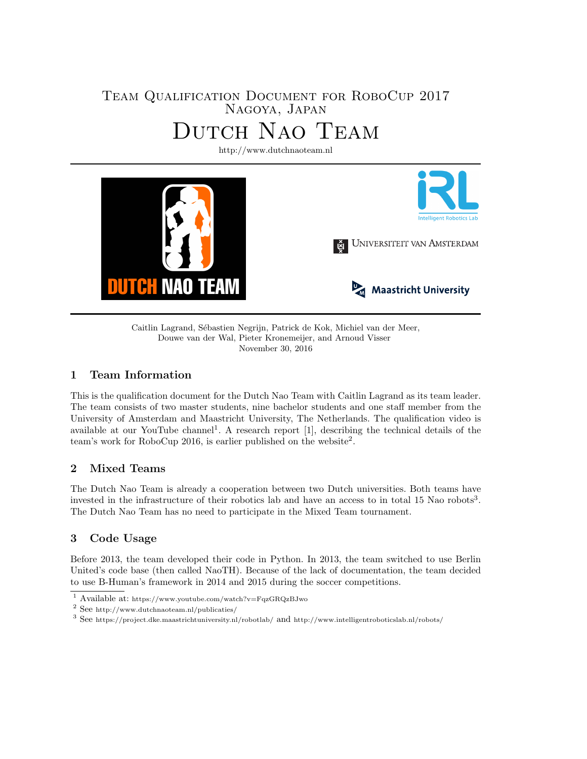## Team Qualification Document for RoboCup 2017 Nagoya, Japan Dutch Nao Team

<http://www.dutchnaoteam.nl>



Caitlin Lagrand, Sébastien Negrijn, Patrick de Kok, Michiel van der Meer, Douwe van der Wal, Pieter Kronemeijer, and Arnoud Visser November 30, 2016

## 1 Team Information

This is the qualification document for the Dutch Nao Team with Caitlin Lagrand as its team leader. The team consists of two master students, nine bachelor students and one staff member from the University of Amsterdam and Maastricht University, The Netherlands. The qualification video is available at our YouTube channel<sup>[1](#page-1-0)</sup>. A research report [\[1\]](#page-5-0), describing the technical details of the team's work for RoboCup [2](#page-1-1)016, is earlier published on the website<sup>2</sup>.

## 2 Mixed Teams

The Dutch Nao Team is already a cooperation between two Dutch universities. Both teams have invested in the infrastructure of their robotics lab and have an access to in total 15 Nao robots<sup>[3](#page-1-2)</sup>. The Dutch Nao Team has no need to participate in the Mixed Team tournament.

## 3 Code Usage

Before 2013, the team developed their code in Python. In 2013, the team switched to use Berlin United's code base (then called NaoTH). Because of the lack of documentation, the team decided to use B-Human's framework in 2014 and 2015 during the soccer competitions.

<span id="page-1-0"></span> $\overline{\textbf{1}}$  Available at: <https://www.youtube.com/watch?v=FqzGRQzBJwo>

<span id="page-1-1"></span><sup>2</sup> See <http://www.dutchnaoteam.nl/publicaties/>

<span id="page-1-2"></span> $^3$  See <https://project.dke.maastrichtuniversity.nl/robotlab/> and <http://www.intelligentroboticslab.nl/robots/>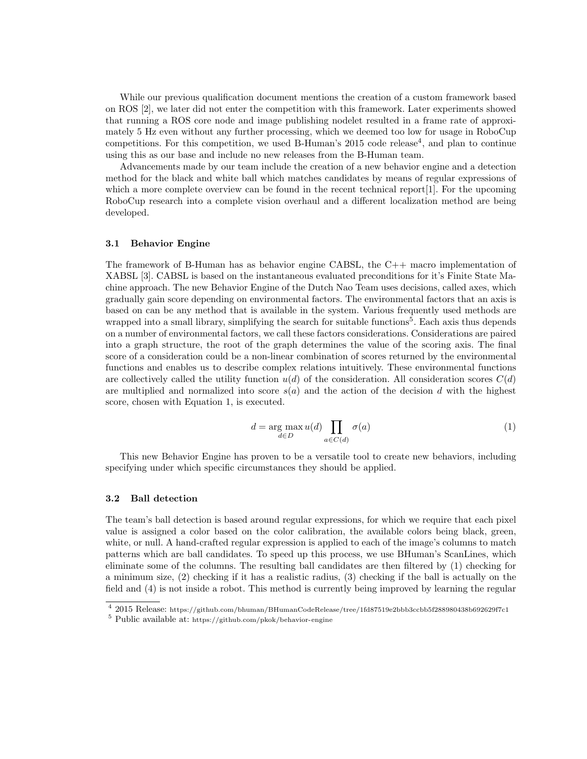While our previous qualification document mentions the creation of a custom framework based on ROS [\[2\]](#page-5-1), we later did not enter the competition with this framework. Later experiments showed that running a ROS core node and image publishing nodelet resulted in a frame rate of approximately 5 Hz even without any further processing, which we deemed too low for usage in RoboCup competitions. For this competition, we used B-Human's  $2015$  code release<sup>[4](#page-2-0)</sup>, and plan to continue using this as our base and include no new releases from the B-Human team.

Advancements made by our team include the creation of a new behavior engine and a detection method for the black and white ball which matches candidates by means of regular expressions of which a more complete overview can be found in the recent technical report [\[1\]](#page-5-0). For the upcoming RoboCup research into a complete vision overhaul and a different localization method are being developed.

#### 3.1 Behavior Engine

The framework of B-Human has as behavior engine CABSL, the C++ macro implementation of XABSL [\[3\]](#page-5-2). CABSL is based on the instantaneous evaluated preconditions for it's Finite State Machine approach. The new Behavior Engine of the Dutch Nao Team uses decisions, called axes, which gradually gain score depending on environmental factors. The environmental factors that an axis is based on can be any method that is available in the system. Various frequently used methods are wrapped into a small library, simplifying the search for suitable functions<sup>[5](#page-2-1)</sup>. Each axis thus depends on a number of environmental factors, we call these factors considerations. Considerations are paired into a graph structure, the root of the graph determines the value of the scoring axis. The final score of a consideration could be a non-linear combination of scores returned by the environmental functions and enables us to describe complex relations intuitively. These environmental functions are collectively called the utility function  $u(d)$  of the consideration. All consideration scores  $C(d)$ are multiplied and normalized into score  $s(a)$  and the action of the decision d with the highest score, chosen with Equation [1,](#page-2-2) is executed.

$$
d = \underset{d \in D}{\arg \max} u(d) \prod_{a \in C(d)} \sigma(a) \tag{1}
$$

<span id="page-2-2"></span>This new Behavior Engine has proven to be a versatile tool to create new behaviors, including specifying under which specific circumstances they should be applied.

#### 3.2 Ball detection

The team's ball detection is based around regular expressions, for which we require that each pixel value is assigned a color based on the color calibration, the available colors being black, green, white, or null. A hand-crafted regular expression is applied to each of the image's columns to match patterns which are ball candidates. To speed up this process, we use BHuman's ScanLines, which eliminate some of the columns. The resulting ball candidates are then filtered by (1) checking for a minimum size, (2) checking if it has a realistic radius, (3) checking if the ball is actually on the field and (4) is not inside a robot. This method is currently being improved by learning the regular

<span id="page-2-0"></span><sup>4</sup> 2015 Release: <https://github.com/bhuman/BHumanCodeRelease/tree/1fd87519e2bbb3ccbb5f288980438b692629f7c1>

<span id="page-2-1"></span><sup>5</sup> Public available at: <https://github.com/pkok/behavior-engine>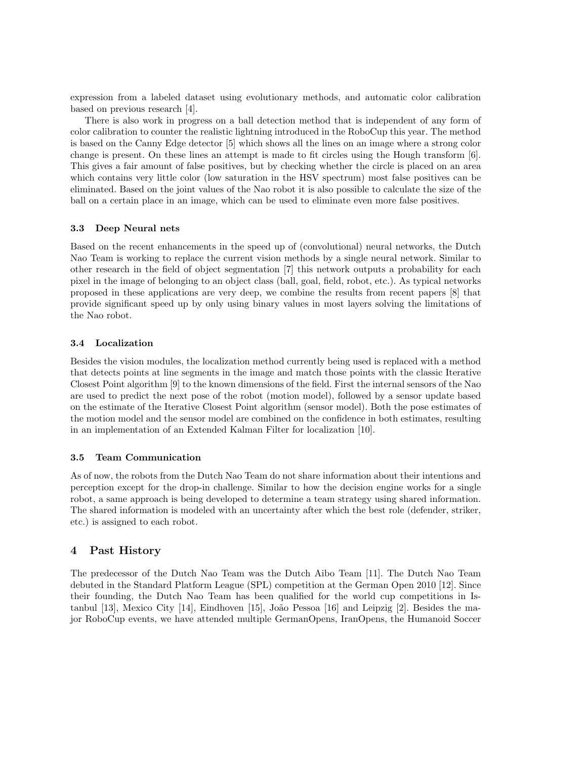expression from a labeled dataset using evolutionary methods, and automatic color calibration based on previous research [\[4\]](#page-5-3).

There is also work in progress on a ball detection method that is independent of any form of color calibration to counter the realistic lightning introduced in the RoboCup this year. The method is based on the Canny Edge detector [\[5\]](#page-5-4) which shows all the lines on an image where a strong color change is present. On these lines an attempt is made to fit circles using the Hough transform [\[6\]](#page-5-5). This gives a fair amount of false positives, but by checking whether the circle is placed on an area which contains very little color (low saturation in the HSV spectrum) most false positives can be eliminated. Based on the joint values of the Nao robot it is also possible to calculate the size of the ball on a certain place in an image, which can be used to eliminate even more false positives.

#### 3.3 Deep Neural nets

Based on the recent enhancements in the speed up of (convolutional) neural networks, the Dutch Nao Team is working to replace the current vision methods by a single neural network. Similar to other research in the field of object segmentation [\[7\]](#page-5-6) this network outputs a probability for each pixel in the image of belonging to an object class (ball, goal, field, robot, etc.). As typical networks proposed in these applications are very deep, we combine the results from recent papers [\[8\]](#page-5-7) that provide significant speed up by only using binary values in most layers solving the limitations of the Nao robot.

#### 3.4 Localization

Besides the vision modules, the localization method currently being used is replaced with a method that detects points at line segments in the image and match those points with the classic Iterative Closest Point algorithm [\[9\]](#page-5-8) to the known dimensions of the field. First the internal sensors of the Nao are used to predict the next pose of the robot (motion model), followed by a sensor update based on the estimate of the Iterative Closest Point algorithm (sensor model). Both the pose estimates of the motion model and the sensor model are combined on the confidence in both estimates, resulting in an implementation of an Extended Kalman Filter for localization [\[10\]](#page-6-0).

#### 3.5 Team Communication

As of now, the robots from the Dutch Nao Team do not share information about their intentions and perception except for the drop-in challenge. Similar to how the decision engine works for a single robot, a same approach is being developed to determine a team strategy using shared information. The shared information is modeled with an uncertainty after which the best role (defender, striker, etc.) is assigned to each robot.

## 4 Past History

The predecessor of the Dutch Nao Team was the Dutch Aibo Team [\[11\]](#page-6-1). The Dutch Nao Team debuted in the Standard Platform League (SPL) competition at the German Open 2010 [\[12\]](#page-6-2). Since their founding, the Dutch Nao Team has been qualified for the world cup competitions in Is-tanbul [\[13\]](#page-6-3), Mexico City [\[14\]](#page-6-4), Eindhoven [\[15\]](#page-6-5), João Pessoa [\[16\]](#page-6-6) and Leipzig [\[2\]](#page-5-1). Besides the major RoboCup events, we have attended multiple GermanOpens, IranOpens, the Humanoid Soccer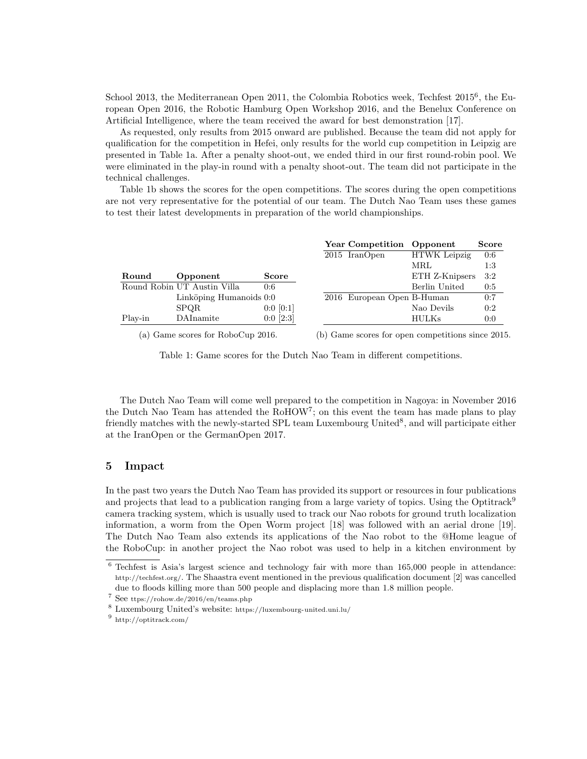School 2013, the Mediterranean Open 2011, the Colombia Robotics week, Techfest 2015<sup>[6](#page-4-0)</sup>, the European Open 2016, the Robotic Hamburg Open Workshop 2016, and the Benelux Conference on Artificial Intelligence, where the team received the award for best demonstration [\[17\]](#page-6-7).

As requested, only results from 2015 onward are published. Because the team did not apply for qualification for the competition in Hefei, only results for the world cup competition in Leipzig are presented in Table [1a.](#page-4-1) After a penalty shoot-out, we ended third in our first round-robin pool. We were eliminated in the play-in round with a penalty shoot-out. The team did not participate in the technical challenges.

Table [1b](#page-4-1) shows the scores for the open competitions. The scores during the open competitions are not very representative for the potential of our team. The Dutch Nao Team uses these games to test their latest developments in preparation of the world championships.

<span id="page-4-1"></span>

|         |                             |                 | Year Competition Opponent  |                     | <b>Score</b> |
|---------|-----------------------------|-----------------|----------------------------|---------------------|--------------|
|         |                             |                 | 2015 IranOpen              | <b>HTWK</b> Leipzig | 0:6          |
|         |                             |                 |                            | MRL                 | 1:3          |
| Round   | Opponent                    | <b>Score</b>    |                            | ETH Z-Knipsers      | 3:2          |
|         | Round Robin UT Austin Villa | 0:6             |                            | Berlin United       | 0:5          |
|         | Linköping Humanoids 0:0     |                 | 2016 European Open B-Human |                     | 0:7          |
|         | <b>SPOR</b>                 | $0:0$ [ $0:1$ ] |                            | Nao Devils          | 0:2          |
| Play-in | DAInamite                   | $0:0$ [2:3]     |                            | <b>HULKs</b>        | 0:0          |
|         |                             |                 |                            |                     |              |

(a) Game scores for RoboCup 2016.

(b) Game scores for open competitions since 2015.

Table 1: Game scores for the Dutch Nao Team in different competitions.

The Dutch Nao Team will come well prepared to the competition in Nagoya: in November 2016 the Dutch Nao Team has attended the RoHOW<sup>[7](#page-4-2)</sup>; on this event the team has made plans to play friendly matches with the newly-started SPL team Luxembourg United<sup>[8](#page-4-3)</sup>, and will participate either at the IranOpen or the GermanOpen 2017.

## 5 Impact

In the past two years the Dutch Nao Team has provided its support or resources in four publications and projects that lead to a publication ranging from a large variety of topics. Using the Optitrack<sup>[9](#page-4-4)</sup> camera tracking system, which is usually used to track our Nao robots for ground truth localization information, a worm from the Open Worm project [\[18\]](#page-6-8) was followed with an aerial drone [\[19\]](#page-6-9). The Dutch Nao Team also extends its applications of the Nao robot to the @Home league of the RoboCup: in another project the Nao robot was used to help in a kitchen environment by

<span id="page-4-0"></span> $6$  Techfest is Asia's largest science and technology fair with more than 165,000 people in attendance: <http://techfest.org/>. The Shaastra event mentioned in the previous qualification document [\[2\]](#page-5-1) was cancelled due to floods killing more than 500 people and displacing more than 1.8 million people.

<span id="page-4-2"></span> $^7$  See <ttps://rohow.de/2016/en/teams.php>

<span id="page-4-3"></span><sup>8</sup> Luxembourg United's website: <https://luxembourg-united.uni.lu/>

<span id="page-4-4"></span><sup>9</sup> <http://optitrack.com/>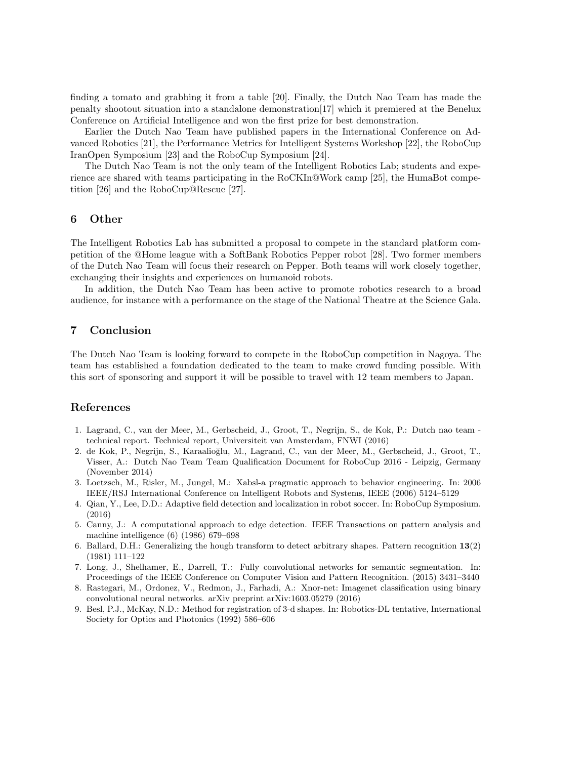finding a tomato and grabbing it from a table [\[20\]](#page-6-10). Finally, the Dutch Nao Team has made the penalty shootout situation into a standalone demonstration[\[17\]](#page-6-7) which it premiered at the Benelux Conference on Artificial Intelligence and won the first prize for best demonstration.

Earlier the Dutch Nao Team have published papers in the International Conference on Advanced Robotics [\[21\]](#page-6-11), the Performance Metrics for Intelligent Systems Workshop [\[22\]](#page-6-12), the RoboCup IranOpen Symposium [\[23\]](#page-6-13) and the RoboCup Symposium [\[24\]](#page-6-14).

The Dutch Nao Team is not the only team of the Intelligent Robotics Lab; students and experience are shared with teams participating in the RoCKIn@Work camp [\[25\]](#page-6-15), the HumaBot competition [\[26\]](#page-6-16) and the RoboCup@Rescue [\[27\]](#page-6-17).

#### 6 Other

The Intelligent Robotics Lab has submitted a proposal to compete in the standard platform competition of the @Home league with a SoftBank Robotics Pepper robot [\[28\]](#page-6-18). Two former members of the Dutch Nao Team will focus their research on Pepper. Both teams will work closely together, exchanging their insights and experiences on humanoid robots.

In addition, the Dutch Nao Team has been active to promote robotics research to a broad audience, for instance with a performance on the stage of the National Theatre at the Science Gala.

#### 7 Conclusion

The Dutch Nao Team is looking forward to compete in the RoboCup competition in Nagoya. The team has established a foundation dedicated to the team to make crowd funding possible. With this sort of sponsoring and support it will be possible to travel with 12 team members to Japan.

#### References

- <span id="page-5-0"></span>1. Lagrand, C., van der Meer, M., Gerbscheid, J., Groot, T., Negrijn, S., de Kok, P.: Dutch nao team technical report. Technical report, Universiteit van Amsterdam, FNWI (2016)
- <span id="page-5-1"></span>2. de Kok, P., Negrijn, S., Karaalioğlu, M., Lagrand, C., van der Meer, M., Gerbscheid, J., Groot, T., Visser, A.: Dutch Nao Team Team Qualification Document for RoboCup 2016 - Leipzig, Germany (November 2014)
- <span id="page-5-2"></span>3. Loetzsch, M., Risler, M., Jungel, M.: Xabsl-a pragmatic approach to behavior engineering. In: 2006 IEEE/RSJ International Conference on Intelligent Robots and Systems, IEEE (2006) 5124–5129
- <span id="page-5-3"></span>4. Qian, Y., Lee, D.D.: Adaptive field detection and localization in robot soccer. In: RoboCup Symposium. (2016)
- <span id="page-5-4"></span>5. Canny, J.: A computational approach to edge detection. IEEE Transactions on pattern analysis and machine intelligence (6) (1986) 679–698
- <span id="page-5-5"></span>6. Ballard, D.H.: Generalizing the hough transform to detect arbitrary shapes. Pattern recognition 13(2) (1981) 111–122
- <span id="page-5-6"></span>7. Long, J., Shelhamer, E., Darrell, T.: Fully convolutional networks for semantic segmentation. In: Proceedings of the IEEE Conference on Computer Vision and Pattern Recognition. (2015) 3431–3440
- <span id="page-5-7"></span>8. Rastegari, M., Ordonez, V., Redmon, J., Farhadi, A.: Xnor-net: Imagenet classification using binary convolutional neural networks. arXiv preprint arXiv:1603.05279 (2016)
- <span id="page-5-8"></span>9. Besl, P.J., McKay, N.D.: Method for registration of 3-d shapes. In: Robotics-DL tentative, International Society for Optics and Photonics (1992) 586–606